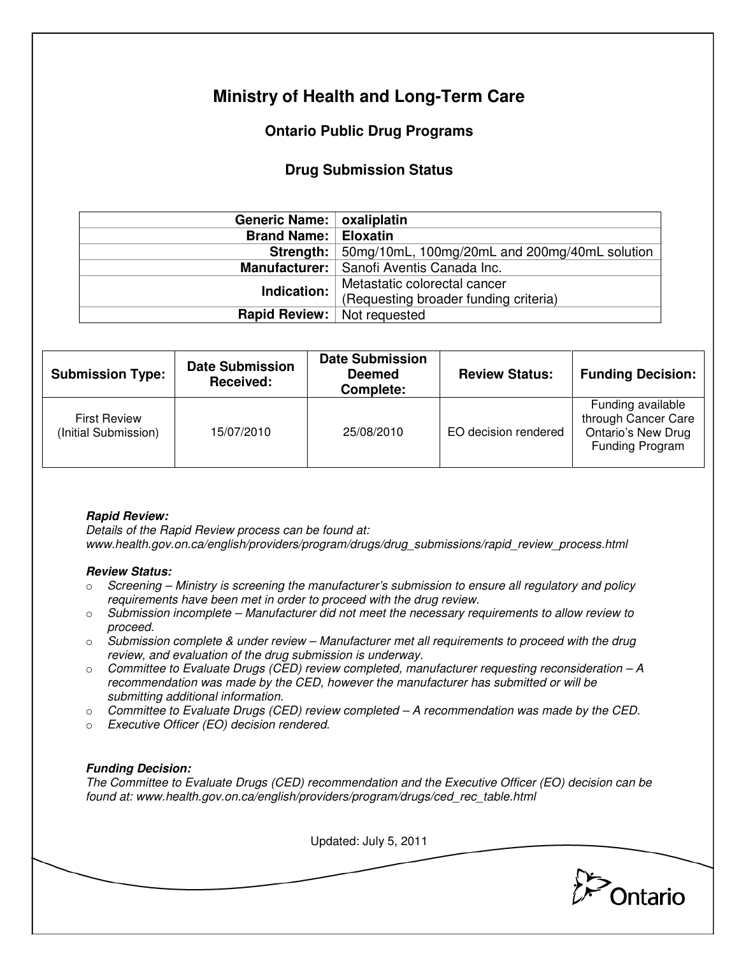# **Ministry of Health and Long-Term Care**

## **Ontario Public Drug Programs**

### **Drug Submission Status**

| Generic Name:   oxaliplatin        |                                                                |  |  |
|------------------------------------|----------------------------------------------------------------|--|--|
| <b>Brand Name:   Eloxatin</b>      |                                                                |  |  |
|                                    | <b>Strength:</b> 50mg/10mL, 100mg/20mL and 200mg/40mL solution |  |  |
|                                    | Manufacturer:   Sanofi Aventis Canada Inc.                     |  |  |
| Indication:                        | Metastatic colorectal cancer                                   |  |  |
|                                    | (Requesting broader funding criteria)                          |  |  |
| <b>Rapid Review:</b> Not requested |                                                                |  |  |

| <b>Submission Type:</b>                     | <b>Date Submission</b><br>Received: | <b>Date Submission</b><br><b>Deemed</b><br>Complete: | <b>Review Status:</b> | <b>Funding Decision:</b>                                                                 |
|---------------------------------------------|-------------------------------------|------------------------------------------------------|-----------------------|------------------------------------------------------------------------------------------|
| <b>First Review</b><br>(Initial Submission) | 15/07/2010                          | 25/08/2010                                           | EO decision rendered  | Funding available<br>through Cancer Care<br><b>Ontario's New Drug</b><br>Funding Program |

#### **Rapid Review:**

Details of the Rapid Review process can be found at: www.health.gov.on.ca/english/providers/program/drugs/drug\_submissions/rapid\_review\_process.html

#### **Review Status:**

- $\circ$  Screening Ministry is screening the manufacturer's submission to ensure all regulatory and policy requirements have been met in order to proceed with the drug review.
- $\circ$  Submission incomplete Manufacturer did not meet the necessary requirements to allow review to proceed.
- $\circ$  Submission complete & under review Manufacturer met all requirements to proceed with the drug review, and evaluation of the drug submission is underway.
- $\circ$  Committee to Evaluate Drugs (CED) review completed, manufacturer requesting reconsideration A recommendation was made by the CED, however the manufacturer has submitted or will be submitting additional information.
- $\circ$  Committee to Evaluate Drugs (CED) review completed  $-A$  recommendation was made by the CED.
- o Executive Officer (EO) decision rendered.

#### **Funding Decision:**

The Committee to Evaluate Drugs (CED) recommendation and the Executive Officer (EO) decision can be found at: www.health.gov.on.ca/english/providers/program/drugs/ced\_rec\_table.html

Updated: July 5, 2011